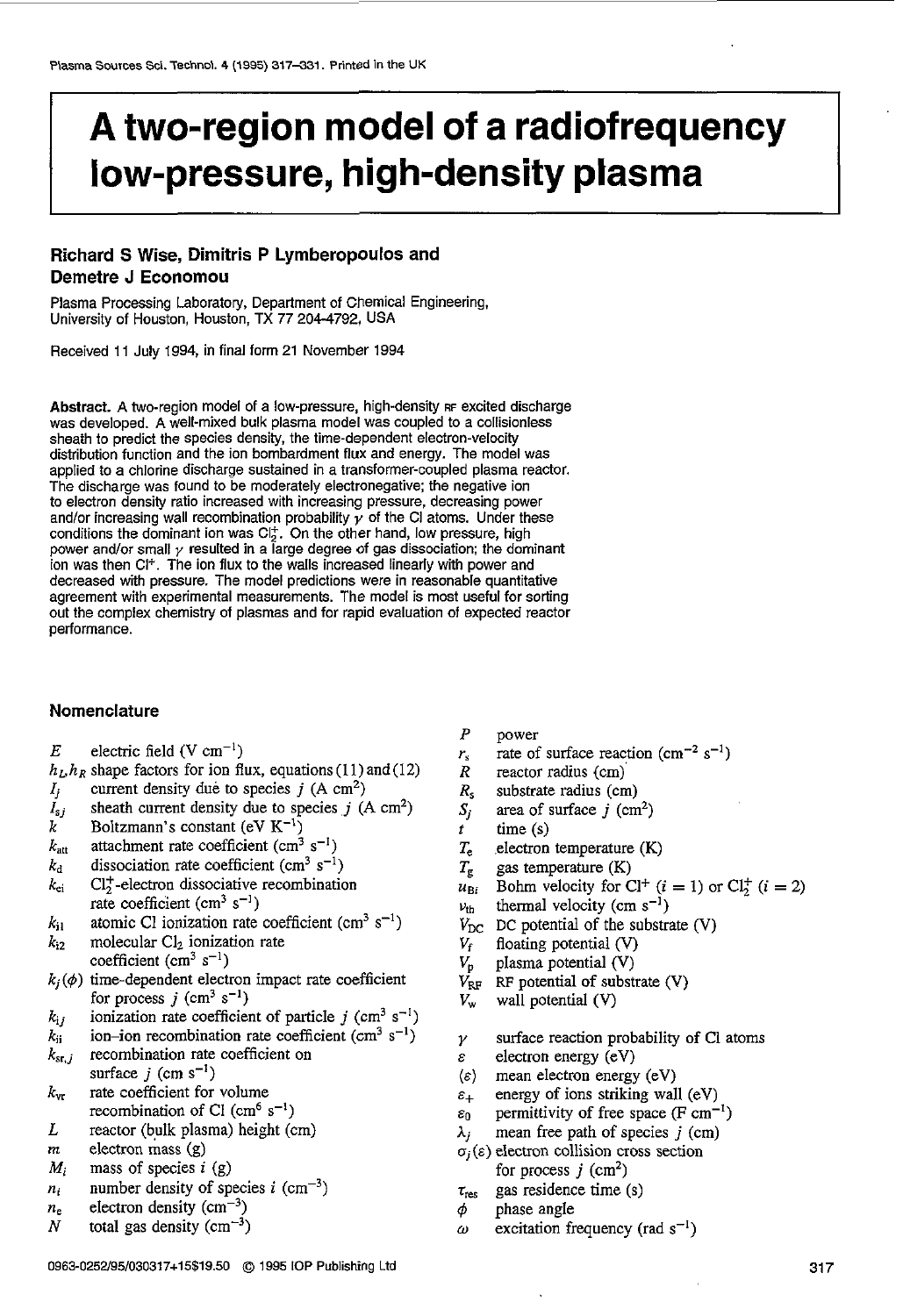# I **A two-region model of a radiofrequency low-pressure, high-density plasma**

# **Richard S Wise, Dimitris P Lymberopoulos and Demetre J Economou**

Plasma Processing Laboratory, Department of Chemical Engineering, University of Houston, Houston, TX 77 204-4792, USA

Received **11** July 1994, in final form **21** November 1994

Abstract. A two-region model of a low-pressure, high-density RF excited discharge was developed. A well-mixed bulk plasma model was coupled to a collisionless sheath to predict the species density, the time-dependent electron-velocity distribution function and the ion bombardment flux and energy. The model was applied to **a** chlorine discharge sustained in a transformer-coupled plasma reactor. The discharge was found to be moderately electronegative: the negative ion to electron density ratio increased with increasing pressure, decreasing power and/or increasing wall recombination probability  $\gamma$  of the CI atoms. Under these conditions the dominant ion was  $Cl_2^+$ . On the other hand, low pressure, high power and/or small  $\gamma$  resulted in a large degree of gas dissociation; the dominant ion was then Cl". The ion flux to the walls increased linearly with power and decreased with pressure. The model predictions were in reasonable quantitative agreement with experimental measurements. The model is most useful for sorting out the complex chemistry of plasmas and for rapid evaluation of expected reactor performance.

#### **Nomenclature**

- $E$  electric field (V cm<sup>-1</sup>)
- $h_L, h_R$  shape factors for ion flux, equations (11) and (12) *lj*  current density due to species  $j$  (A  $\text{cm}^2$ )
- sheath current density due to species  $j$  (A  $\text{cm}^2$ )
- *Isj*  Boltzmann's constant ( $eV K^{-1}$ )
- $k_{\text{att}}$ attachment rate coefficient (cm<sup>3</sup> s<sup>-1</sup>)
- $k_{\rm d}$ dissociation rate coefficient (cm<sup>3</sup> s<sup>-1</sup>)
- $k_{ei}$  Cl<sub>7</sub>-electron dissociative recombination rate coefficient (cm<sup>3</sup> s<sup>-1</sup>)
- $k_{11}$ atomic C1 ionization rate coefficient (cm<sup>3</sup>  $s^{-1}$ )
- $k_{i2}$  molecular Cl<sub>2</sub> ionization rate coefficient  $(cm<sup>3</sup> s<sup>-1</sup>)$
- $k_j(\phi)$  time-dependent electron impact rate coefficient for process  $j$  (cm<sup>3</sup> s<sup>-1</sup>)
- $k_{ij}$ ionization rate coefficient of particle  $j$  (cm<sup>3</sup> s<sup>-1</sup>)
- ion-ion recombination rate coefficient (cm<sup>3</sup> s<sup>-1</sup>)
- $\frac{k_{\rm ii}}{k_{\rm sr,}j}$ recombination rate coefficient on surface  $j$  (cm s<sup>-1</sup>)
- $k_{\text{vr}}$  rate coefficient for volume recombination of Cl  $\text{(cm}^6 \text{ s}^{-1})$
- *L*  reactor (bulk plasma) height (cm)
- *m* electron mass (g)
- *Mi*  mass of species  $i$  (g)
- *ni*  number density of species  $i$  (cm<sup>-3</sup>)
- $n_e$  electron density (cm<sup>-3</sup>)
- *N* total gas density  $\text{cm}^{-3}$ )
- *P* power
- $r_s$  rate of surface reaction (cm<sup>-2</sup> s<sup>-1</sup>)
- *R* reactor radius (cm)
- *R,* substrate radius (cm)
- *Sj*  area of surface  $j$  (cm<sup>2</sup>)
- $time(s)$
- *T,* electron temperature (K)
- $T_g$  gas temperature  $(K)$
- $u_{\text{Bi}}$  Bohm velocity for Cl<sup>+</sup>  $(i = 1)$  or Cl<sup>+</sup>  $(i = 2)$
- $v_{\text{th}}$  thermal velocity (cm s<sup>-1</sup>)
- $V_{\text{DC}}$  DC potential of the substrate (V)<br> $V_{\text{f}}$  floating potential (V)
	- floating potential (V)
- *V,* plasma potential (V)
- $V_{RF}$  RF potential of substrate (V)
- *V,* wall potential (V)
- *y*  surface reaction probability of **C1** atoms
- $\varepsilon$  electron energy (eV)
- $\langle \varepsilon \rangle$  mean electron energy (eV)
- *E+*  energy *of* ions striking wall (eV)
- *EO*  permittivity of free space **(F** cm-')
- *hj*  mean free path of species *j* (cm)
- $\sigma_i(\varepsilon)$  electron collision cross section for process  $j$  (cm<sup>2</sup>)
- $\tau_{res}$  gas residence time (s)
- $\phi$  phase angle
- $\omega$  excitation frequency (rad  $s^{-1}$ )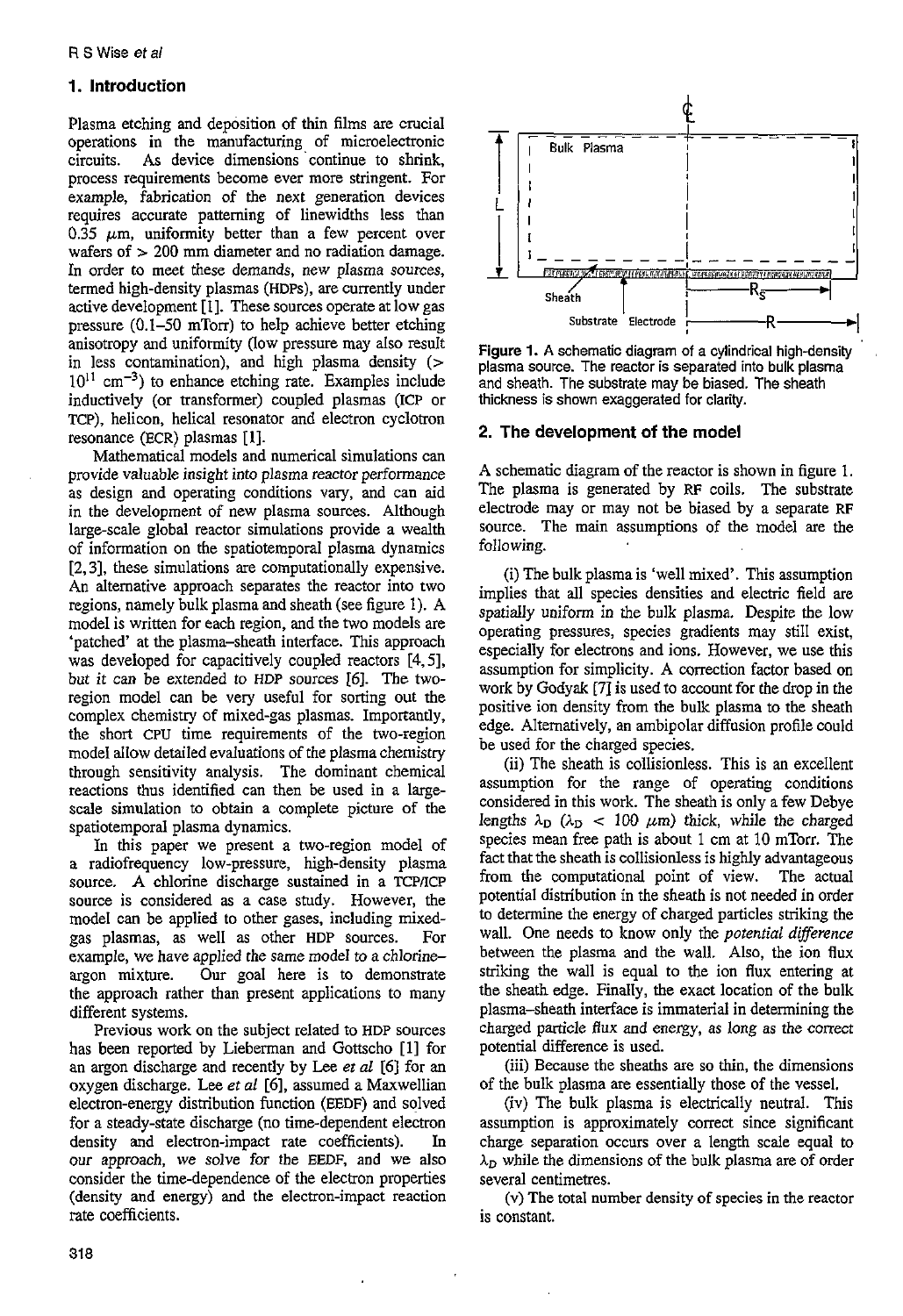# 1. **Introduction**

Plasma etching and deposition of thin films are crucial operations in the manufacturing of microelectronic circuits. As device dimensions 'continue to shrink, mocess requirements become ever more stringent. For example, fabrication of the next generation devices requires accurate patterning of linewidths less than  $0.\overline{3}5$  *um*, uniformity better than a few percent over wafers of  $> 200$  mm diameter and no radiation damage. **In** order to meet these demands, new plasma sources, termed high-density plasmas (HDPs), are currently under active development [I]. These sources operate at low gas pressure (0.1-50 mTorr) to help achieve better etching anisotropy and uniformity (low pressure may also result in less contamination), and high plasma density  $($  $10^{11}$  cm<sup>-3</sup>) to enhance etching rate. Examples include inductively (or transformer) coupled plasmas (ICP or TCP), helicon, helical resonator and electron cyclotron resonance (ECR) plasmas [I].

Mathematical models and numerical simulations can provide valuable insight into plasma reactor performance as design and operating conditions vary, and can aid in the development of new plasma sources. Although large-scale global reactor simulations provide a wealth of information on the spatiotemporal plasma dynamics **[Z,** 31, these simulations are computationally expensive. An alternative approach separates the reactor into two regions, namely bulk plasma and sheath (see figure 1). **A**  model is written for each region, and the two models are 'patched' at the plasma-sheath interface. This approach was developed for capacitively coupled reactors **[4,5],**  but it can be extended to HDP sources *[6].* The tworegion model can be very useful for sorting out the complex chemistry of mixed-gas plasmas. Importantly, the short CPU time requirements of the two-region model allow detailed evaluations of the plasma chemistry through sensitivity analysis. The dominant chemical reactions thus identified can then be used in a largescale simulation to obtain a complete picture of the spatiotemporal plasma dynamics.

In this paper we present a two-region model of a radiofrequency low-pressure, high-density plasma source. **A** chlorine discharge sustained in a TCPnCP source is considered **as** a case study. However, the model can be applied to other gases, including mixedgas plasmas, as well as other HDP sources. For example, we have applied the same model to a chlorineargon mixture. Our goal here is to demonstrate the approach rather than present applications to many different systems.

Previous work on the subject related to HDP sources has been reported by Lieberman and Gottscho [l] for an argon discharge and recently by Lee et *al* [6] for an oxygen discharge. Lee et *nf [6],* assumed a Maxwellian electron-energy distribution function (EEDF) and solved for a steady-state discharge (no time-dependent electron density and electron-impact rate coefficients). In *our* approach, we solve for the EEDF, and we also consider the time-dependence of the electron properties (density and energy) and the electron-impact reaction rate coefficients.



Figure **1. A** schematic diagram of a cylindrical high-density plasma source. The reactor is separated into **bulk** plasma and sheath. The substrate may be biased. The sheath thickness is shown exaggerated for clarity.

# **2. The development of the model**

**A** schematic diagram of the reactor is shown in figure 1. The plasma is generated by RF coils. The substrate electrode may or may not be biased by a separate RF source. The main assumptions of the model are the following.

(i) The bulk plasma is 'well mixed'. This assumption implies that all species densities and electric field are spatially uniform in the bulk plasma. Despite the low operating pressures, species gradients may still exist, especially for electrons and ions. However, we use this assumption for simplicity. **A** correction factor based on work by Godyak **[7J** is used to account for the drop in the positive ion density from the bulk plasma to the sheath edge. Alternatively, an ambipolar diffusion profile could be used **for** the charged species.

(ii) The sheath is collisionless. This is an excellent assumption for the range of operating conditions considered in this work. The sheath is only a few Debye lengths  $\lambda_D$  ( $\lambda_D$  < 100  $\mu$ m) thick, while the charged species mean free path is about 1 cm at 10 mTorr. The fact that the sheath is collisionless is highly advantageous from the computational point of view. The actual potential distribution in the sheath is not needed in order to determine the energy of charged particles striking the wall. One needs to know only the *potential difference* between the plasma and the wall. **Also,** the ion flux striking the wall is equal to the ion flux entering at the sheath edge. Finally, the exact location of the bulk plasma-sheath interface is immaterial in determining the charged particle flux and energy, as long as the correct potential difference is used.

(iii) Because the sheaths are so thin, the dimensions of the bulk plasma **are** essentially those of the vessel.

(iv) The bulk plasma is electrically neutral. This assumption is approximately correct since significant charge separation occurs over a length scale equal to  $\lambda_D$  while the dimensions of the bulk plasma are of order several centimetres.

(v) The total number density of species in the reactor is constant.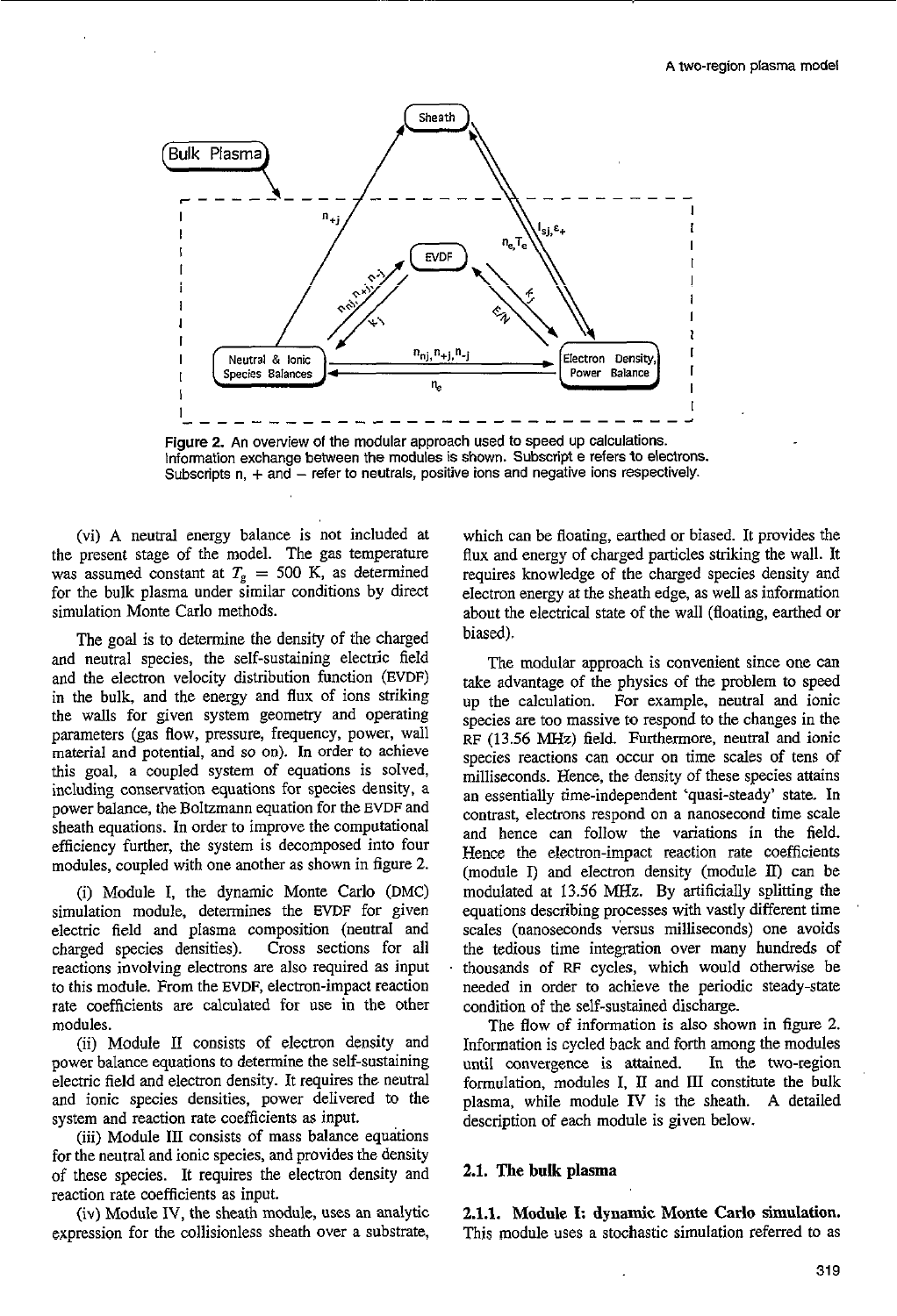

Figure 2. An overview of the modular approach used to speed up calculations. Information exchange between the modules *is* shown. Subscript e refers to electrons. Subscripts  $n, +$  and  $-$  refer to neutrals, positive ions and negative ions respectively.

(vi) **A** neutral energy balance is not included at the present stage of the model. The gas temperature was assumed constant at  $T<sub>g</sub> = 500$  K, as determined for the bulk plasma under simllar conditions by direct simulation Monte Carlo methods.

The goal is to determine the density of the charged and neutral species, the self-sustaining electric field and the electron velocity distribution function **(EVDF)**  in the bulk, and the energy and flux of ions striking the walls for given system geometry and operating parameters (gas flow, pressure, frequency, power, wall material and potential, and so on). In order to achieve this goal, a coupled system of equations is solved, including conservation equations for species density, a power balance, the Boltzmann equation for the EVDF and sheath equations. In order to improve the computational efficiency further, the system is decomposed into four modules, coupled with one another as shown in figure *2.* 

(i) Module I, the dynamic Monte Carlo **(DMC)**  simulation module, determines the **EVDF** for given electric field and plasma composition (neutral and charged species densities). Cross sections for all reactions involving electrons are also required as input to this module. From the **EVDF,** electron-impact reaction rate coefficients are calculated for use in the other modules.

(ii) **Mndo!e** LT consists of electron density and power balance equations to determine the self-sustaining electric field and electron density. It requires the neutral and ionic species densities, power delivered to the system and reaction rate coefficients as input.

(iii) Module 111 consists of mass balance equations for the neutral and ionic species, and provides the density of these species. It requires the electron density and reaction rate coefficients as input.

(iv) Module IV, the sheath module, **uses** an analytic expression for the collisionless sheath over a substrate,

which can be floating, earthed or biased. It provides the flux and energy of charged paxticles striking the wall. It requires knowledge of the charged species density and electron energy **at** the sheath edge, as well as information about the electrical state of the wall (floating, earthed **or**  biased).

The modular approach is convenient since one can take advantage of the physics of the problem to speed up the calculation. For example, neutral and ionic species are too massive to respond to the changes in the RF (13.56 **MHz)** field. Furthermore, neutral and ionic species reactions can occur on time scales of tens of milliseconds. Hence, the density of these species attains an essentially time-independent 'quasi-steady' state. In contrast, electrons respond on a nanosecond time scale and hence can follow the variations in the field. Hence the electron-impact reaction rate coefficients (module I) and electron density (module **U)** can be modulated at 13.56 MHz. By artificially splitting the equations describing processes with vastly different time scales (nanoseconds versus milliseconds) one avoids the tedious time integration over many hundreds **of**  thousands of **RF** cycles, which would otherwise be needed in order to achieve the periodic steady-state condition of the self-sustained discharge.

The flow of information is also shown in figure 2.<br>Information is cycled back and forth among the modules until convergence is attained. In the two-region formulation, modules I, *II* and **111** constitute the bulk plasma, while module **IV** is the sheath. **A** detailed description of each module is given below.

#### **2.1.** The **bulk plasma**

**2.1.1.** Module I: **dynamic** Monte **Carlo simulation.**  This module uses a stochastic simulation referred to as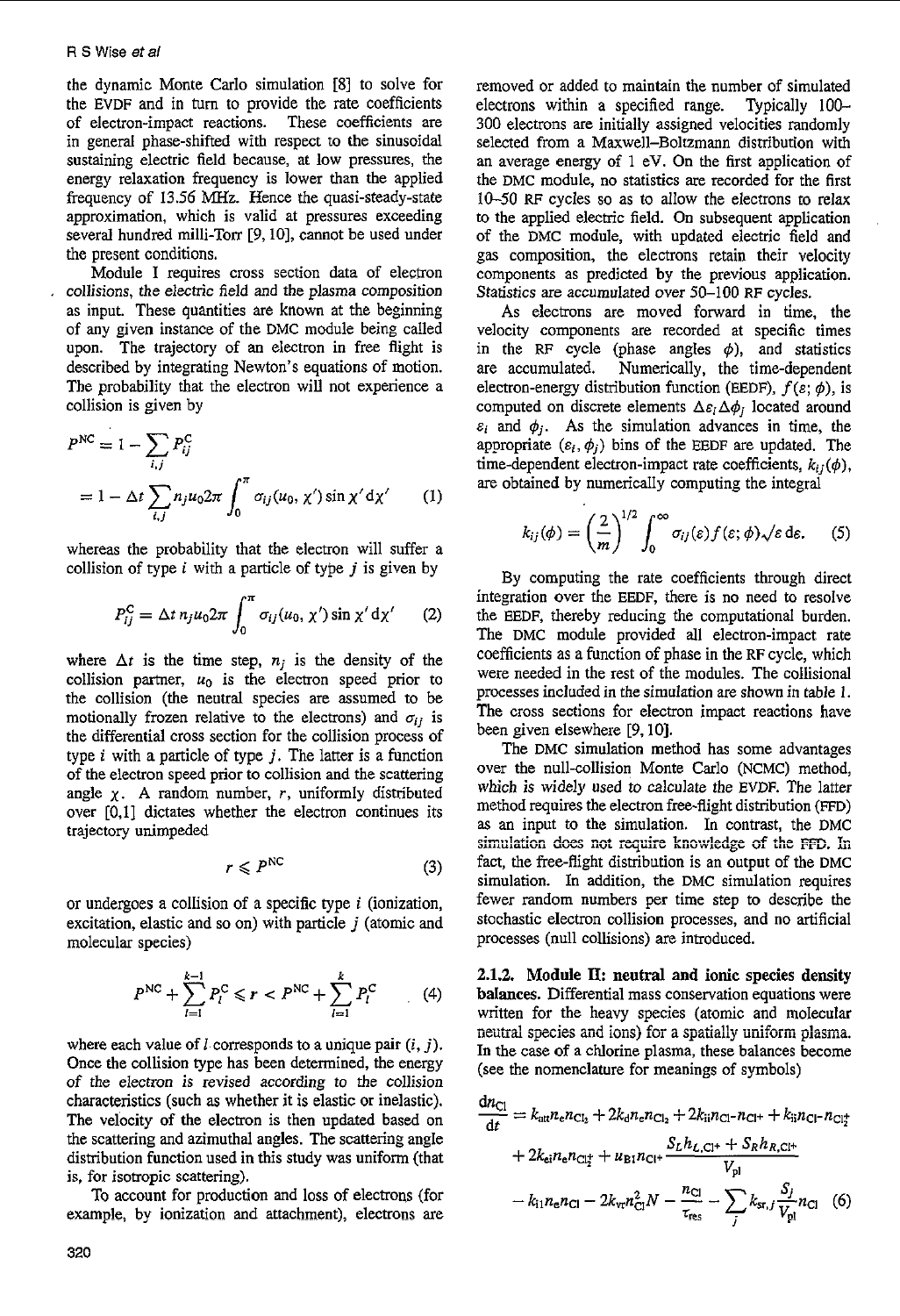the dynamic Monte Carlo simulation 181 to solve for the EVDF and in turn to provide the rate coefficients of electron-impact reactions. These coefficients are of electron-impact reactions. in general phase-shifted with respect *to* the sinusoidal sustaining electric field because, at low pressures, the energy relaxation frequency is lower than the applied frequency of 13.56 **MHz.** Hence the quasi-steady-state approximation, which is valid at pressures exceeding several hundred milli-Torr [9,10], cannot be used under the present conditions.

Module **I** requires cross section data of electron , collisions, the electric field and the plasma composition **as** input. These quantities are known at the beginning of any given instance of the DMC module being called upon. The trajectory of an electron in free flight is described by integrating Newton's equations of motion. The probability that the electron will not experience a collision is given by

$$
PNC = 1 - \sum_{i,j} P_{ij}^{C}
$$
  
= 1 - \Delta t \sum\_{i,j} n\_j u\_0 2\pi \int\_0^{\pi} \sigma\_{ij}(u\_0, \chi') \sin \chi' d\chi' (1)

whereas the probability that the electron will suffer a collision of type *i* with a particle of type *j* is given by

$$
P_{ij}^{\rm C} = \Delta t \, n_j u_0 2\pi \int_0^\pi \sigma_{ij}(u_0, \chi') \sin \chi' \, \mathrm{d}\chi'
$$
 (2)

where  $\Delta t$  is the time step,  $n_j$  is the density of the collision partner,  $u_0$  is the electron speed prior to the collision (the neutral species are assumed to be motionally frozen relative to the electrons) and  $\sigma_{ij}$  is the differential cross section for the collision process of type *i* with a particle of type *j.* The latter is a function of the electron speed prior to collision and the scattering angle  $\chi$ . A random number, *r*, uniformly distributed over [0,1] dictates whether the electron continues its trajectory unimpeded

$$
r \leqslant P^{\text{NC}} \tag{3}
$$

or undergoes a collision of a specific type *i* (ionization, excitation, elastic and so on) with particle *j* (atomic and molecular species)

$$
P^{NC} + \sum_{l=1}^{k-1} P_l^C \leqslant r < P^{NC} + \sum_{l=1}^{k} P_l^C \tag{4}
$$

where each value of  $l$  corresponds to a unique pair  $(i, j)$ . Once the collision type has been determined, the energy of the electron is revised according to the collision characteristics (such **as** whether it is elastic or inelastic). The velocity of the electron is then updated based on the scattering and azimuthal angles. The scattering angle distribution function used in this study was uniform (that is, for isotropic scattering).

To account for production and loss of electrons (for **examp!e, by ionization** and attachment)\* **electrons are** 

removed or added to maintain the number of simulated electrons within a specified range. Typically 100- 300 electrons are initially assigned velocities randomly selected from a Maxwell-Boltzmann distribution with an average energy of 1 eV. On the first application of the DMC module, no statistics **are** recorded for the first 10-50 RF cycles so as to allow the electrons to relax to the applied electric field. **On** subsequent application of the DMC module, with updated electric field and gas composition, the electrons retain their velocity components as predicted by the previous application. Statistics **are** accumulated over 50-100 RF cycles.

**As** electrons are moved forward in time, the velocity components are recorded at specific times in the RF cycle (phase angles  $\phi$ ), and statistics are accumulated. Numerically, the time-dependent electron-energy distribution function (EEDF),  $f(\varepsilon; \phi)$ , is computed on discrete elements  $\Delta \varepsilon_i \Delta \phi_j$  located around  $\varepsilon_i$  and  $\phi_i$ . As the simulation advances in time, the appropriate  $(\varepsilon_i, \phi_j)$  bins of the EEDF are updated. The time-dependent electron-impact rate coefficients,  $k_{ij}(\phi)$ , are obtained by numerically computing the integral

$$
k_{ij}(\phi) = \left(\frac{2}{m}\right)^{1/2} \int_0^\infty \sigma_{ij}(\varepsilon) f(\varepsilon; \phi) \sqrt{\varepsilon} \, \mathrm{d}\varepsilon. \tag{5}
$$

By computing the rate coefficients through direct integration over the EEDF, there is no need to resolve the EEDF, thereby reducing the computational burden. The DMC module provided all electron-impact rate coefficients as a function **of** phase in the RF cycle, which were needed in the rest of the modules. The collisional processes included in the simulation are shown in table 1. The cross sections for electron impact reactions have been given elsewhere [9,10].

The DMC simulation method has some advantages over the null-collision Monte Carlo (NCMC) method, which is widely used to calculate the EVDF. The latter method requires the electron free-flight distribution (FFD) **as** an input to the simulation. **In** contrast, the DMC fact, the free-flight distribution is an output of the DMC simulation. In addition, the DMC simulation requires fewer random numbers per time step to describe the stochastic electron collision processes, and no artificial processes (null collisions) are introduced.  $i$  simulation does not require knowledge of the FFD. In

**2.1.2. Module II: neutral and ionic species density balances.** Differential mass conservation equations were written for the heavy species (atomic and molecular written for the heavy species (atomic and molecular neutral species and ions) for a spatially uniform plasma. In the case of a chlorine plasma, these balances become (see the nomenclature for meanings of symbols)

$$
\frac{dn_{Cl}}{dt} = k_{\text{att}} n_{e} n_{Cl_{2}} + 2k_{\text{d}} n_{e} n_{Cl_{2}} + 2k_{\text{ii}} n_{Cl} - n_{Cl^{+}} + k_{\text{ii}} n_{Cl} - n_{Cl^{+}} + 2k_{\text{ei}} n_{e} n_{Cl^{+}} + u_{\text{B1}} n_{Cl^{+}} \frac{S_{L} h_{L,Cl^{+}} + S_{R} h_{R,Cl^{+}}}{V_{\text{pl}}} - k_{\text{11}} n_{e} n_{Cl} - 2k_{\text{vr}} n_{Cl}^{2} N - \frac{n_{Cl}}{\tau_{\text{res}}} - \sum_{j} k_{\text{sr},j} \frac{S_{j}}{V_{\text{pl}}} n_{Cl}
$$
 (6)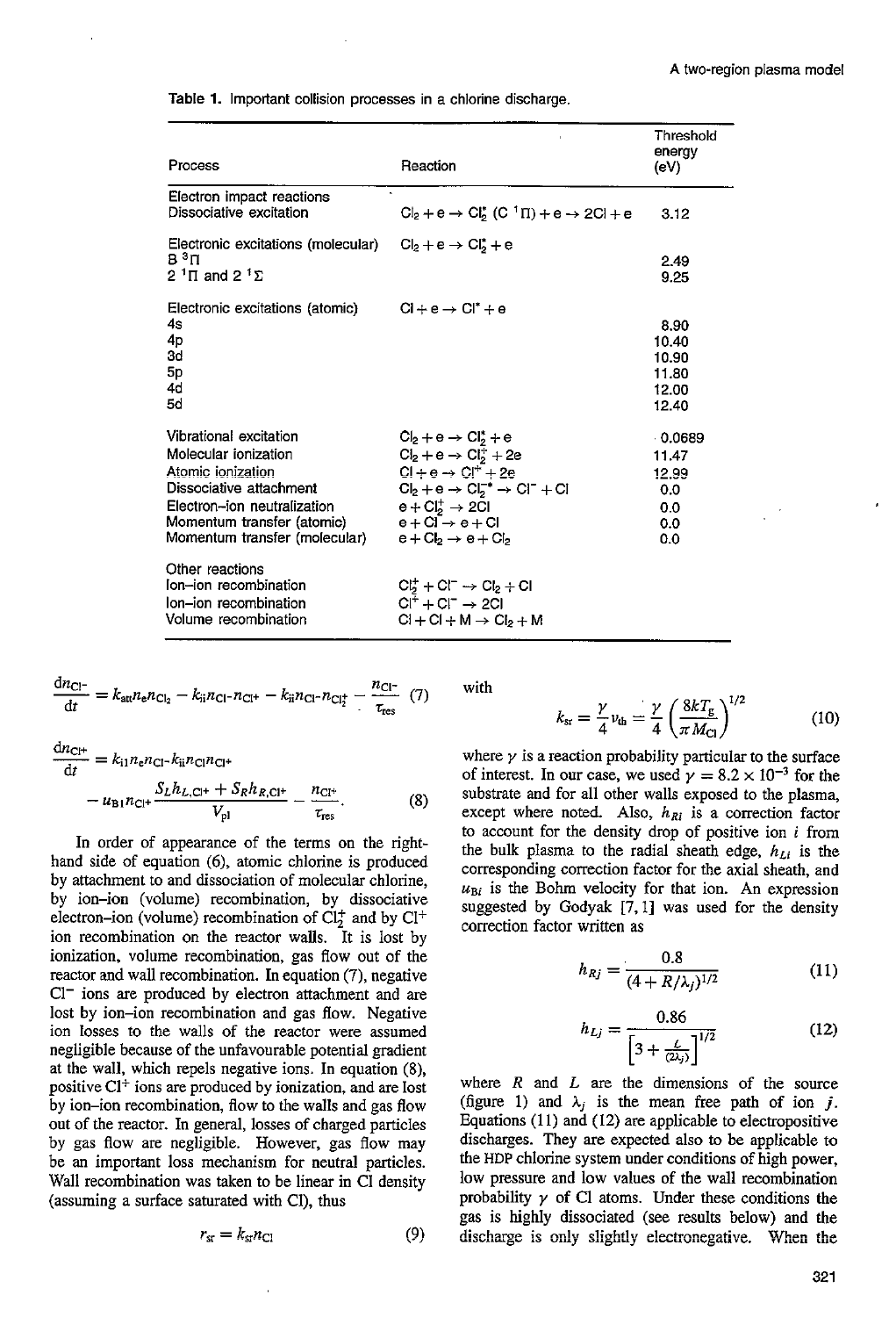| Process                                                                                                                                                                                      | Reaction                                                                                                                                                                                                                                                           | Threshold<br>energy<br>(eV)                          |
|----------------------------------------------------------------------------------------------------------------------------------------------------------------------------------------------|--------------------------------------------------------------------------------------------------------------------------------------------------------------------------------------------------------------------------------------------------------------------|------------------------------------------------------|
| Electron impact reactions<br>Dissociative excitation                                                                                                                                         | $Cl_2 + e \rightarrow Cl_2^*(C^T\Pi) + e \rightarrow 2Cl + e$                                                                                                                                                                                                      | 3.12                                                 |
| Electronic excitations (molecular)<br>$B^3\Pi$<br>$21$ T and $21$ $\Sigma$                                                                                                                   | $Cl2 + e \rightarrow Cl2* + e$                                                                                                                                                                                                                                     | 2.49<br>9.25                                         |
| Electronic excitations (atomic)<br>4s<br>4p<br>3d<br>5p<br>4d<br>5d                                                                                                                          | $Cl + e \rightarrow Cl^* + e$                                                                                                                                                                                                                                      | 8.90<br>10.40<br>10.90<br>11.80<br>12.00<br>12.40    |
| Vibrational excitation<br>Molecular ionization<br>Atomic ionization<br>Dissociative attachment<br>Electron-ion neutralization<br>Momentum transfer (atomic)<br>Momentum transfer (molecular) | $Cl2 + e \rightarrow Cl2* + e$<br>$Cl_2 + e \rightarrow Cl_2^+ + 2e$<br>$Cl + e \rightarrow Cl^+ + 2e$<br>$Cl_2 + e \rightarrow Cl_2^{-*} \rightarrow Cl^- + Cl$<br>$e + Cl_2^+ \rightarrow 2Cl$<br>$e + Cl \rightarrow e + Cl$<br>$e + Cl_2 \rightarrow e + Cl_2$ | 0.0689<br>11.47<br>12.99<br>0.0<br>0.0<br>0.0<br>0.0 |
| Other reactions<br>lon-ion recombination<br>lon-ion recombination<br>Volume recombination                                                                                                    | $Cl2+ + Cl- \rightarrow Cl2 + Cl1$<br>$Cl^+ + Cl^- \rightarrow 2Cl$<br>$Cl + Cl + M \rightarrow Cl_2 + M$                                                                                                                                                          |                                                      |

Table **1.** Important collision processes in a chlorine discharge.

$$
\frac{dn_{Cl^-}}{dt} = k_{\text{att}} n_{\text{e}} n_{\text{Cl}_2} - k_{\text{ii}} n_{\text{Cl}^-} n_{\text{Cl}^+} - k_{\text{ii}} n_{\text{Cl}^-} n_{\text{Cl}_2^+} - \frac{n_{\text{Cl}^-}}{\tau_{\text{res}}} \tag{7}
$$

$$
\frac{dnc_{\text{I}+}}{dt} = k_{11}n_{\text{e}}n_{\text{Cl}} - k_{\text{ii}}n_{\text{Cl}}n_{\text{Cl}+}
$$

$$
- u_{\text{B}1}n_{\text{Cl}+} \frac{S_Lh_{L,\text{Cl}+} + S_Rh_{R,\text{Cl}+}}{V_{\text{pl}}} - \frac{n_{\text{Cl}+}}{\tau_{\text{res}}}.
$$
(8)

 $\overline{A}$ 

In order of appearance of the terms on the righthand side of equation *(6),* atomic chlorine is produced by attachment to and dissociation of molecular chlorine, by ion-ion (volume) recombination, by dissociative electron-ion (volume) recombination of  $Cl_2^+$  and by  $Cl^+$ ion recombination on the reactor walls. It is lost by ionization, volume recombination, gas flow out of the reactor and wall recombination. In equation *(7),* negative  $Cl^-$  ions are produced by electron attachment and are lost by ion-ion recombination and gas flow. Negative ion losses to the walls of the reactor were assumed negligible because of the unfavourable potential gradient at the wall, which repels negative ions. In equation **(8),**  positive C1+ ions are produced by ionization, and are lost by ion-ion recombination, flow to the walls and gas flow out of the reactor. In general, losses of charged particles by gas flow are negligible. However, gas flow may be an important loss mechanism for neutral particles. Wall recombination was taken to be linear in CI density (assuming a surface saturated with Cl), thus

$$
r_{\rm sr} = k_{\rm sr} n_{\rm Cl} \tag{9}
$$

**with** 

$$
k_{\rm sr} = \frac{\gamma}{4} v_{\rm th} = \frac{\gamma}{4} \left( \frac{8kT_{\rm g}}{\pi M_{\rm Cl}} \right)^{1/2} \tag{10}
$$

where  $\gamma$  is a reaction probability particular to the surface of interest. In our case, we used  $\gamma = 8.2 \times 10^{-3}$  for the substrate and for all other walls exposed to the plasma, except where noted. Also,  $h_{Ri}$  is a correction factor to account for the density drop of positive ion *i* from the bulk plasma to the radial sheath edge,  $h_{Li}$  is the corresponding correction factor for the axial sheath, and  $u_{\text{Bi}}$  is the Bohm velocity for that ion. An expression suggested by Godyak **[7,** I] was used for the density correction factor written as

$$
h_{Rj} = \frac{0.8}{(4 + R/\lambda_j)^{1/2}}\tag{11}
$$

$$
h_{Lj} = \frac{0.86}{\left[3 + \frac{L}{(2\lambda_j)}\right]^{1/2}}
$$
 (12)

where  $R$  and  $L$  are the dimensions of the source (figure 1) and  $\lambda_i$  is the mean free path of ion *j*. Equations  $(11)$  and  $(12)$  are applicable to electropositive discharges. They are expected also *to* be applicable to the **HDP** chlorine system under conditions of high power, low pressure and low values of the wall recombination probability  $\gamma$  of Cl atoms. Under these conditions the gas is highly dissociated (see results below) and the discharge is only slightly electronegative. When the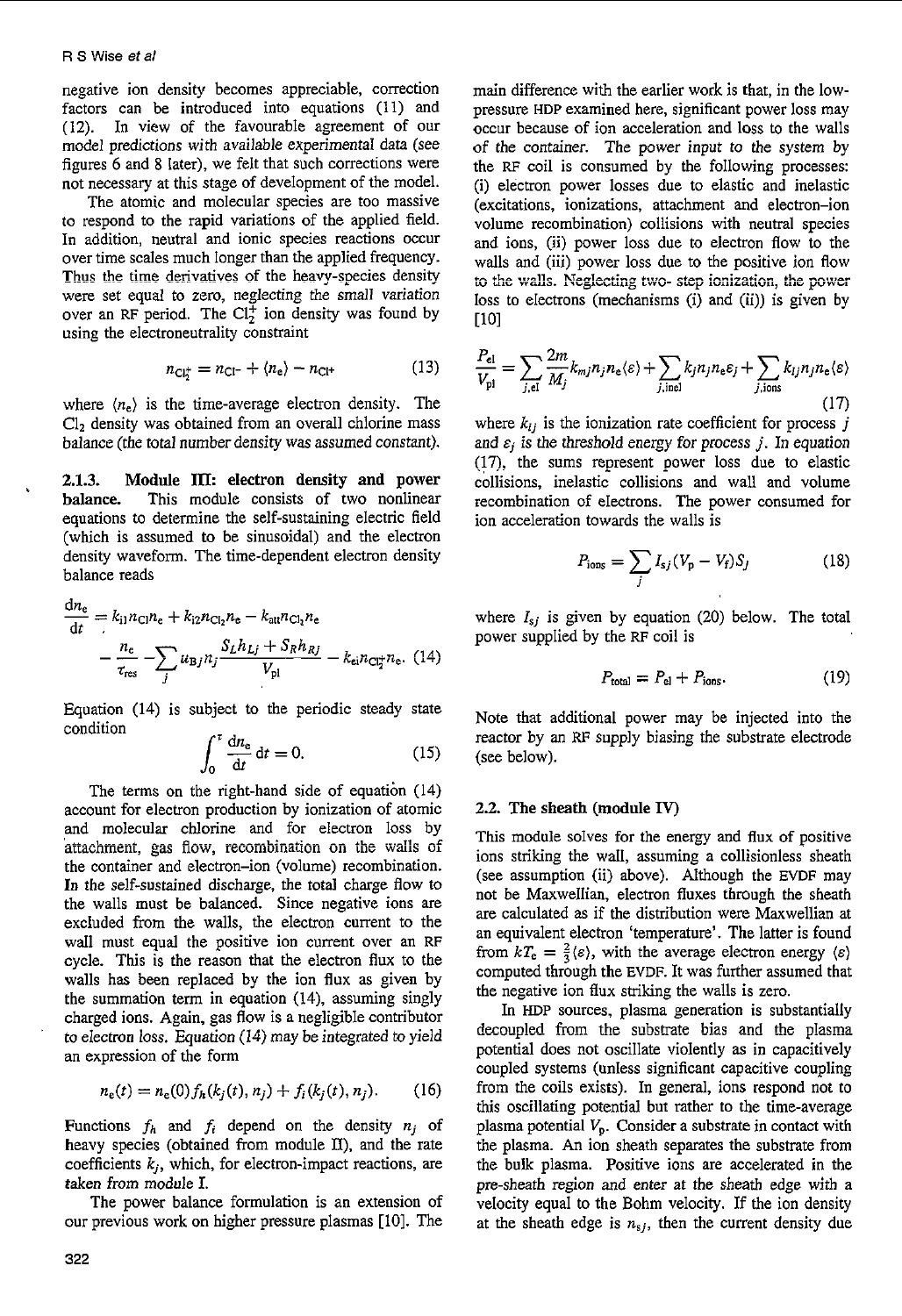negative ion density becomes appreciable, correction factors can be introduced into equations (11) and **(12).** In view of the favourable agreement of our model predictions with available experimental data (see figures 6 and **8** later), we felt that such corrections were not necessary at this stage of development of the model.

The atomic and molecular species are too massive to respond to the rapid variations of the applied field. **In** addition, neutral and ionic species reactions occur over time scales much longer than the applied frequency. **Thus the** time derivatives of the heavy-species density were set equal to zero, neglecting the small variation over an RF period. The  $Cl_2^+$  ion density was found by using the electroneutrality constraint

$$
n_{\text{Cl}_2^+} = n_{\text{Cl}^-} + \langle n_{\text{e}} \rangle - n_{\text{Cl}^+}
$$
 (13)

where  $\langle n_e \rangle$  is the time-average electron density. The Clz density was obtained from an overall chlorine mass balance (the total number density was assumed constant).

**2.1.3.** Module **IJX** electron density and power balance. This module consists of two nonlinear equations to determine the self-sustaining electric field (which is assumed **to** be sinusoidal) and the electron balance reads

density waveform. The time-dependent electron density  
balance reads  

$$
\frac{dn_e}{dt} = k_{i1}n_{Cl}n_e + k_{i2}n_{Cl_2}n_e - k_{att}n_{Cl_2}n_e
$$

$$
- \frac{n_e}{\tau_{res}} - \sum_j u_{Bj}n_j \frac{S_Lh_{Lj} + S_Rh_{Rj}}{V_{pl}} - k_{ei}n_{Cl_2^*}n_e.
$$
 (14)

Equation (14) is subject to the periodic steady state condition

$$
\int_0^\tau \frac{dn_e}{dt} dt = 0.
$$
 (15)

The terms on the right-hand side of equation (14) account for electron production by ionization of atomic and molecular chlorine and for electron loss by the container and electron-ion (volume) recombination. In the self-sustained discharge, the total charge flow to the walls must be balanced. Since negative ions are excluded from the walls, the electron current to the wall must equal the positive ion current over an RF cycle. This is the reason that the electron flux to the walls has been replaced by the ion flux as given by the summation term in equation (14), assuming singly charged ions. Again, gas flow is a negligible contributor to eiectron *ioss.* Equation **(i4j** may be integrated to yield an expression of the form attachment, gas flow, recombination on the walls of

$$
n_e(t) = n_e(0) f_h(k_j(t), n_j) + f_i(k_j(t), n_j).
$$
 (16)

Functions  $f_h$  and  $f_i$  depend on the density  $n_i$  of heavy species (obtained from module **E),** and the rate coefficients *kj,* which, for electron-impact reactions, are *taken* from module I.

The power balance formulation is an extension of our previous work on higher pressure plasmas [IO]. The main difference with the earlier work is that, in the lowpressure **HDP** examined here, significant power loss may occur because of ion acceleration and loss to the walls of the container. The power input to the system by the RF coil is consumed by the following processes: (i) electron power losses due to elastic and inelastic (excitations, ionizations, attachment and electron-ion volume recombination) collisions with neutral species and ions, (ii) power loss due to electron flow to the walls and (iii) power loss due to the positive ion flow loss to electrons (mechanisms (i) and (ii)) is given by U01  $\times$  **1** to the walls. Neglecting two-step ionization, the power

$$
\frac{P_{\rm el}}{V_{\rm pl}} = \sum_{j, \rm el} \frac{2m}{M_j} k_{mj} n_j n_{\rm e} \langle \varepsilon \rangle + \sum_{j, \rm inel} k_j n_j n_{\rm e} \varepsilon_j + \sum_{j, \rm ions} k_{lj} n_j n_{\rm e} \langle \varepsilon \rangle \tag{17}
$$

where  $k_{ij}$  is the ionization rate coefficient for process  $j$ and  $\varepsilon_j$  is the threshold energy for process *j*. In equation (17), the sums represent power loss due to elastic collisions, inelastic collisions and wall and volume recombination of eIectrons. The power consumed for ion acceleration towards the walls is

$$
P_{\text{ions}} = \sum_{j} I_{sj} (V_{\text{p}} - V_{\text{f}}) S_{j}
$$
 (18)

where  $I_{sj}$  is given by equation (20) below. The total power supplied by the RF coil is

$$
P_{\text{total}} = P_{\text{el}} + P_{\text{ions}}.\tag{19}
$$

Note that additional power may be injected into the reactor by an RF supply biasing the substrate electrode (see below).

#### **2.2. The sheath** (module IV)

This module solves for the energy and flux of positive ions striking the wall, assuming a collisionless sheath (see assumption (ii) above). Although the EVDF may not be Maxwellian, electron fluxes through the sheath are calculated **as** if the distribution were Maxwellian at an equivalent electron 'temperature'. The latter is found from  $kT_e = \frac{2}{3} \langle \varepsilon \rangle$ , with the average electron energy  $\langle \varepsilon \rangle$ computed through the EVDF. It was further assumed that the negative ion flux striking the walls is zero.

In HDP sources, plasma generation is substantially decoupled from the substrate bias and the plasma potential does not oscillate violently as in capacitively coupled systems (unless significant capacitive coupling from the coils exists). In general, ions respond not to this oscillating potential but rather to the time-average plasma potential  $V_p$ . Consider a substrate in contact with the plasma. An ion sheath separates the substrate from the bulk plasma. Positive ions are accelerated in the pre-sheath region and enter at the sheath edge with a velocity equal to the Bohm velocity. If the ion density at the sheath edge is *nsj,* then the current density due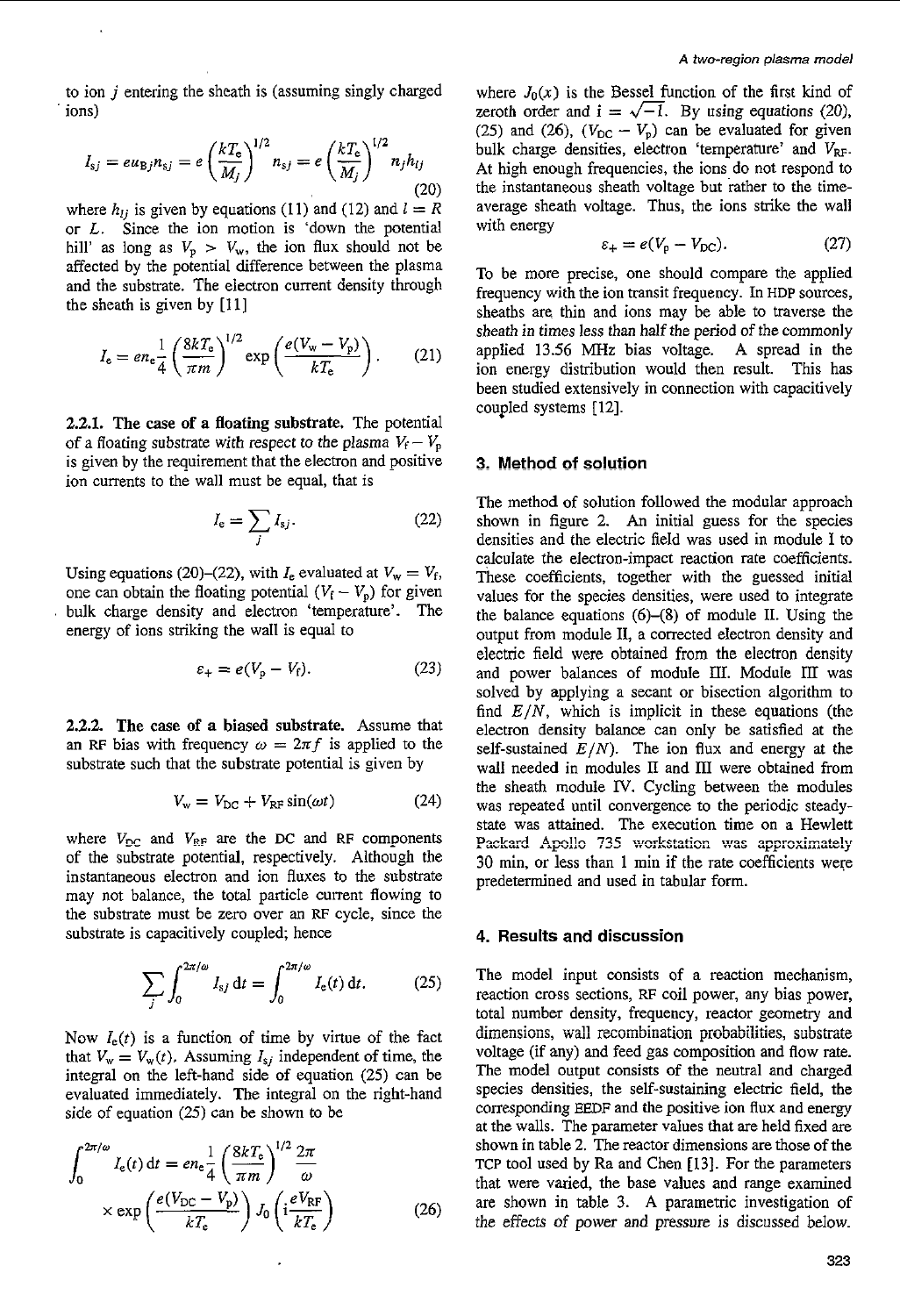to ion *j* entering the sheath is (assuming singly charged ions)

$$
I_{sj} = e u_{\text{Bj}} n_{sj} = e \left(\frac{k T_{\text{e}}}{M_j}\right)^{1/2} n_{sj} = e \left(\frac{k T_{\text{e}}}{M_j}\right)^{1/2} n_j h_{lj}
$$
\n(20)

where  $h_{lj}$  is given by equations (11) and (12) and  $l = R$ or *L.* Since the ion motion is 'down the potential hill' as long as  $V_p > V_w$ , the ion flux should not be affected by the potential difference between the plasma and the substrate. The electron current density through the sheath is given by [11]

$$
I_{\rm e} = en_{\rm e} \frac{1}{4} \left( \frac{8kT_{\rm e}}{\pi m} \right)^{1/2} \exp \left( \frac{e(V_{\rm w} - V_{\rm p})}{kT_{\rm e}} \right). \tag{21}
$$

**2.21.** The case **of** a floating substrate. The potential of a floating substrate with respect to the plasma  $V_f - V_p$ is given by the requirement that the electron and positive ion currents to the wall must be equal, that is

$$
I_{\rm e} = \sum_{j} I_{sj}.
$$
 (22)

Using equations (20)-(22), with  $I_e$  evaluated at  $V_w = V_f$ , one can obtain the floating potential  $(V_f - V_p)$  for given bulk charge density and electron 'temperature'. The energy of ions striking the wall is equal to

$$
\varepsilon_{+} = e(V_{p} - V_{f}). \tag{23}
$$

**2.2.2. The** case **of** a biased substrate. Assume that an RF bias with frequency  $\omega = 2\pi f$  is applied to the substrate such that the substrate potential is given by

$$
V_{\rm w} = V_{\rm DC} + V_{\rm RF} \sin(\omega t) \tag{24}
$$

where  $V_{DC}$  and  $V_{RP}$  are the DC and RF components of the substrate potential, respectively. Although the instantaneous electron and ion fluxes to the substrate may not balance, the total particle current flowing to the substrate must be zero over an RF cycle, since the substrate is capacitively coupled; hence

$$
\sum_{j} \int_0^{2\pi/\omega} I_{sj} dt = \int_0^{2\pi/\omega} I_e(t) dt.
$$
 (25)

Now  $I_e(t)$  is a function of time by virtue of the fact that  $V_w = V_w(t)$ . Assuming  $I_{sj}$  independent of time, the integral on the left-hand side of equation (25) can be evaluated immediately. The integral on the right-hand side of equation (25) can be shown to be

$$
\int_0^{2\pi/\omega} I_e(t) dt = en_e \frac{1}{4} \left(\frac{8kT_e}{\pi m}\right)^{1/2} \frac{2\pi}{\omega}
$$

$$
\times \exp\left(\frac{e(V_{\rm DC} - V_{\rm p})}{kT_e}\right) J_0 \left(i\frac{eV_{\rm RF}}{kT_e}\right) \tag{26}
$$

where  $J_0(x)$  is the Bessel function of the first kind of zeroth order and  $i = \sqrt{-1}$ . By using equations (20), zeroth order and  $i = \sqrt{-1}$ . By using equations (20), (25) and (26), ( $V_{DC} - V_p$ ) can be evaluated for given bulk charge densities, electron 'temperature' and  $V_{\text{RF}}$ . At high enough frequencies, the ions do not respond to the instantaneous sheath voltage but rather to the timeaverage sheath voltage. Thus, the ions strike the wall with energy

$$
\varepsilon_{+} = e(V_{\rm p} - V_{\rm DC}). \tag{27}
$$

To be more precise, one should compare the applied frequency with the ion transit frequency. In **HDP** sources, sheaths are thin and ions may be able to traverse the sheath in times less than half the period of the commonly applied 13.56 **MHz** bias voltage. **A** spread in the ion energy distribution would then result. This has been studied extensively in connection with capacitively coupled systems [12].

#### **3, Method of solution**

The method of solution followed the modular approach shown in figure *2.* An initial guess for the species densities and the electric field was used in module I to calculate the electron-impact reaction rate coefficients. These coefficients, together with the guessed initial values for the species densities, were used to integrate the balance equations *(6)-(8)* of module 11. Using the output from module **11,** a corrected electron density and electric field were obtained from the electron density and power balances of module HI. Module **III** was solved by applying a secant or bisection algorithm to find *E/N,* which is implicit in these equations (the electron density balance can only be satisfied at the self-sustained  $E/N$ ). The ion flux and energy at the wall needed in modules II and III were obtained from the sheath module IV. Cycling between the modules was repeated until convergence to the periodic steadystate was attained. The execution time on a Hewlett Packard Apollo 735 workstation was approximately 30 min, or less than 1 min if the rate coefficients were predetermined and used in tabular form.

### **4. Results and discussion**

The model input consists of a reaction mechanism, reaction cross sections, RF coil power, any bias power, total number density, frequency, reactor geometry and total number density, trequency, reactor geometry and<br>dimensions, wall recombination probabilities, substrate voltage (if any) and feed gas composition and flow rate. The model output consists of the neutral and charged species densities, the self-sustaining electric field, the corresponding EEDF and the positive ion flux and energy at the walls. The parameter values that are held fixed are shown in table 2. The reactor dimensions are those of the **TCP** tool used by Ra and Chen **[13].** For the parameters that were varied, the base values and range examined are shown in table 3. A parametric investigation of the effects of power and pressure is discussed below.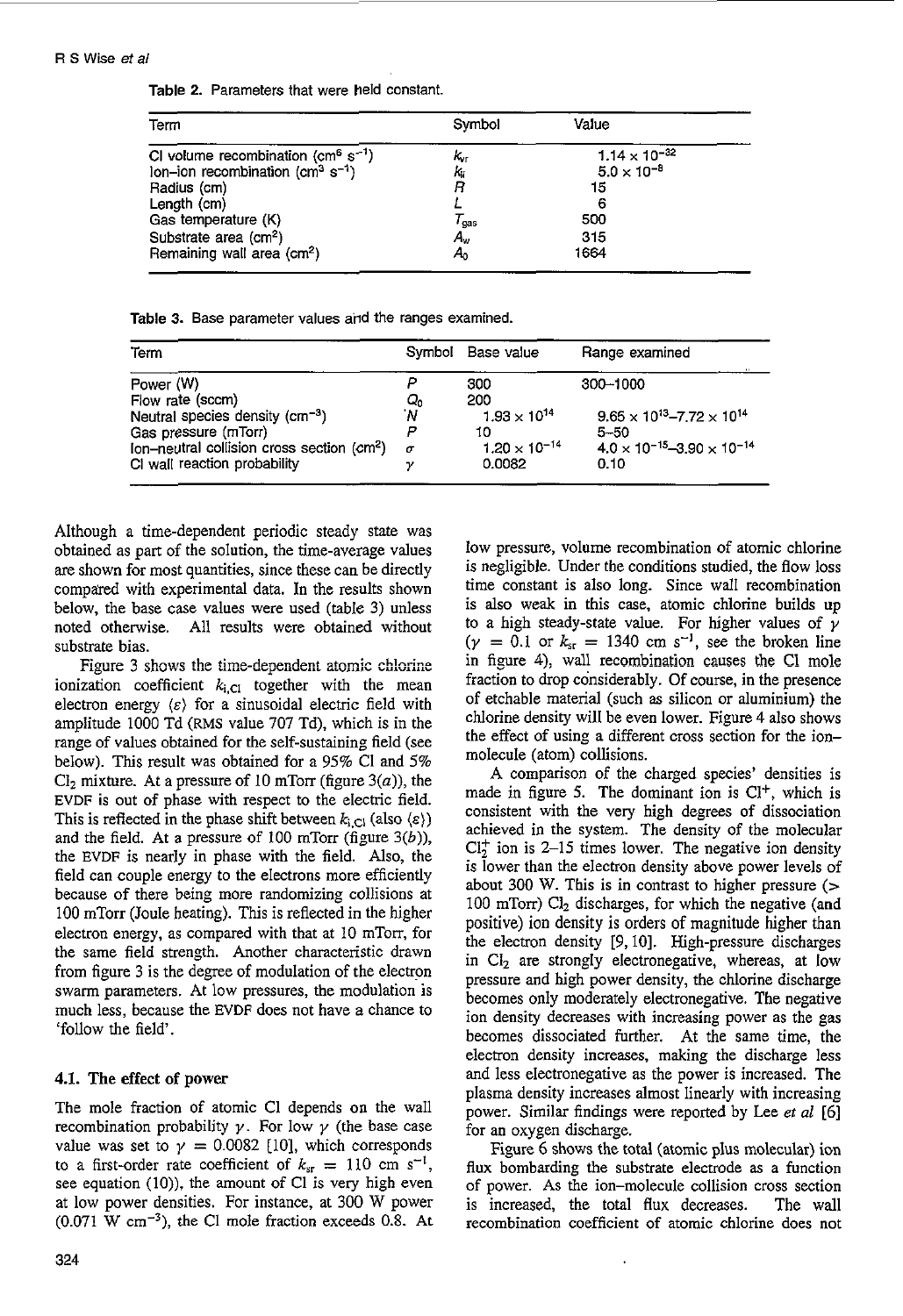|  |  | Table 2. Parameters that were held constant. |  |  |  |
|--|--|----------------------------------------------|--|--|--|
|--|--|----------------------------------------------|--|--|--|

| Term                                                     | Symbol           | Value                  |
|----------------------------------------------------------|------------------|------------------------|
| CI volume recombination ( $\text{cm}^6 \text{ s}^{-1}$ ) | K <sub>ur</sub>  | $1.14 \times 10^{-32}$ |
| lon-ion recombination ( $cm3 s-1$ )                      | ki               | $5.0 \times 10^{-8}$   |
| Radius (cm)                                              | R                | 15                     |
| Length (cm)                                              |                  | 6                      |
| Gas temperature (K)                                      | $\tau_{\rm gas}$ | 500                    |
| Substrate area (cm <sup>2</sup> )                        | A.,              | 315                    |
| Remaining wall area (cm <sup>2</sup> )                   | A٥               | 1664                   |

|  |  |  |  |  |  |  | Table 3. Base parameter values and the ranges examined. |
|--|--|--|--|--|--|--|---------------------------------------------------------|
|--|--|--|--|--|--|--|---------------------------------------------------------|

| Term                                             |          | Symbol Base value      | Range examined                               |
|--------------------------------------------------|----------|------------------------|----------------------------------------------|
| Power (W)                                        |          | 300                    | 300-1000                                     |
| Flow rate (sccm)                                 | Q,       | 200                    |                                              |
| Neutral species density (cm <sup>-3</sup> )      | 'N       | $1.93 \times 10^{14}$  | $9.65 \times 10^{13} - 7.72 \times 10^{14}$  |
| Gas pressure (mTorr)                             |          | 10                     | $5 - 50$                                     |
| Ion-neutral collision cross section $\rm (cm^2)$ | $\sigma$ | $1.20 \times 10^{-14}$ | $4.0 \times 10^{-15} - 3.90 \times 10^{-14}$ |
| CI wall reaction probability                     |          | 0.0082                 | 0.10                                         |

Although a time-dependent periodic steady state was obtained as part of the solution, the time-average values are shown for most quantities, since these can be directly compared with experimental data. In the results shown below, the base case values were used (table **3)** unless noted otherwise. All results were obtained without substrate bias.

Figure 3 shows the time-dependent atomic chlorine ionization coefficient  $k_{i,CI}$  together with the mean electron energy  $\langle \varepsilon \rangle$  for a sinusoidal electric field with amplitude 1000 Td **(RMS** value 707 Td), which is in the range of values obtained for the self-sustaining field (see below). This result was obtained for a 95% Cl and 5%  $Cl<sub>2</sub>$  mixture. At a pressure of 10 mTorr (figure  $3(a)$ ), the EVDF is out of phase with respect to the electric field. This is reflected in the phase shift between  $k_{i,Cl}$  (also  $\langle \varepsilon \rangle$ ) and the field. At a pressure of 100 mTorr (figure **3(6)),**  the EVDF is nearly in phase with the field. Also, the field can couple energy to the electrons more efficiently because of there being more randomizing collisions at 100 mTorr (Joule heating). This is reflected in the higher electron energy, as compared with that at 10 mTorr, for the same field strength. Another characteristic drawn from figure 3 is the degree of modulation of the electron swarm parameters. At low pressures, the modulation is much less, because the EVDF does not have a chance to 'follow the field'.

#### **4.1.** The effect **of power**

The mole fraction of atomic Cl depends on the wall recombination probability  $\gamma$ . For low  $\gamma$  (the base case value was set to  $\gamma = 0.0082$  [10], which corresponds to a first-order rate coefficient of  $k_{sr} = 110$  cm s<sup>-1</sup>, see equation (IO)), the amount of C1 is very high even at low power densities. For instance, at 300 W power  $(0.071 \text{ W cm}^{-3})$ , the C1 mole fraction exceeds 0.8. At low pressure, volume recombination of atomic chlorine is negligible. Under the conditions studied, the flow loss time constant is also long. Since wall recombination is also weak in this case, atomic chlorine builds up to a high steady-state value. For higher values of *y*   $(\gamma = 0.1 \text{ or } k_{sr} = 1340 \text{ cm s}^{-1})$ , see the broken line in figure 4), wall recombination causes the CI mole fraction to drop considerably. Of course, in the presence of etchable material (such as silicon or aluminium) the chlorine density will be even lower. Figure 4 also shows the effect of using a different cross section for the ionmolecule (atom) collisions.

A comparison of the charged species' densities is made in figure 5. The dominant ion is  $Cl<sup>+</sup>$ , which is consistent with the very high degrees of dissociation achieved in the system. The density of the molecular  $Cl<sub>2</sub><sup>+</sup>$  ion is 2–15 times lower. The negative ion density is lower than the electron density above power levels of about 300 W. This is in contrast to higher pressure  $($ 100 mTorr)  $Cl<sub>2</sub>$  discharges, for which the negative (and positive) ion density is orders of magnitude higher than the electron density 19,101. High-pressure discharges in  $Cl<sub>2</sub>$  are strongly electronegative, whereas, at low pressure and high power density, the chlorine discharge becomes only moderately electronegative. The negative ion density decreases with increasing power as the gas becomes dissociated further. At the same time, the electron density increases, making the discharge less and less electronegative as the power is increased. The plasma density increases almost linearly with increasing power. Similar findings were reported by Lee *et al* [6] for an oxygen discharge.

Figure 6 shows the total (atomic plus molecular) ion flux bombarding the substrate electrode as a function of power. As the ion-molecule collision cross section is increased, the total flux decreases. The wall recombination coefficient of atomic chlorine does not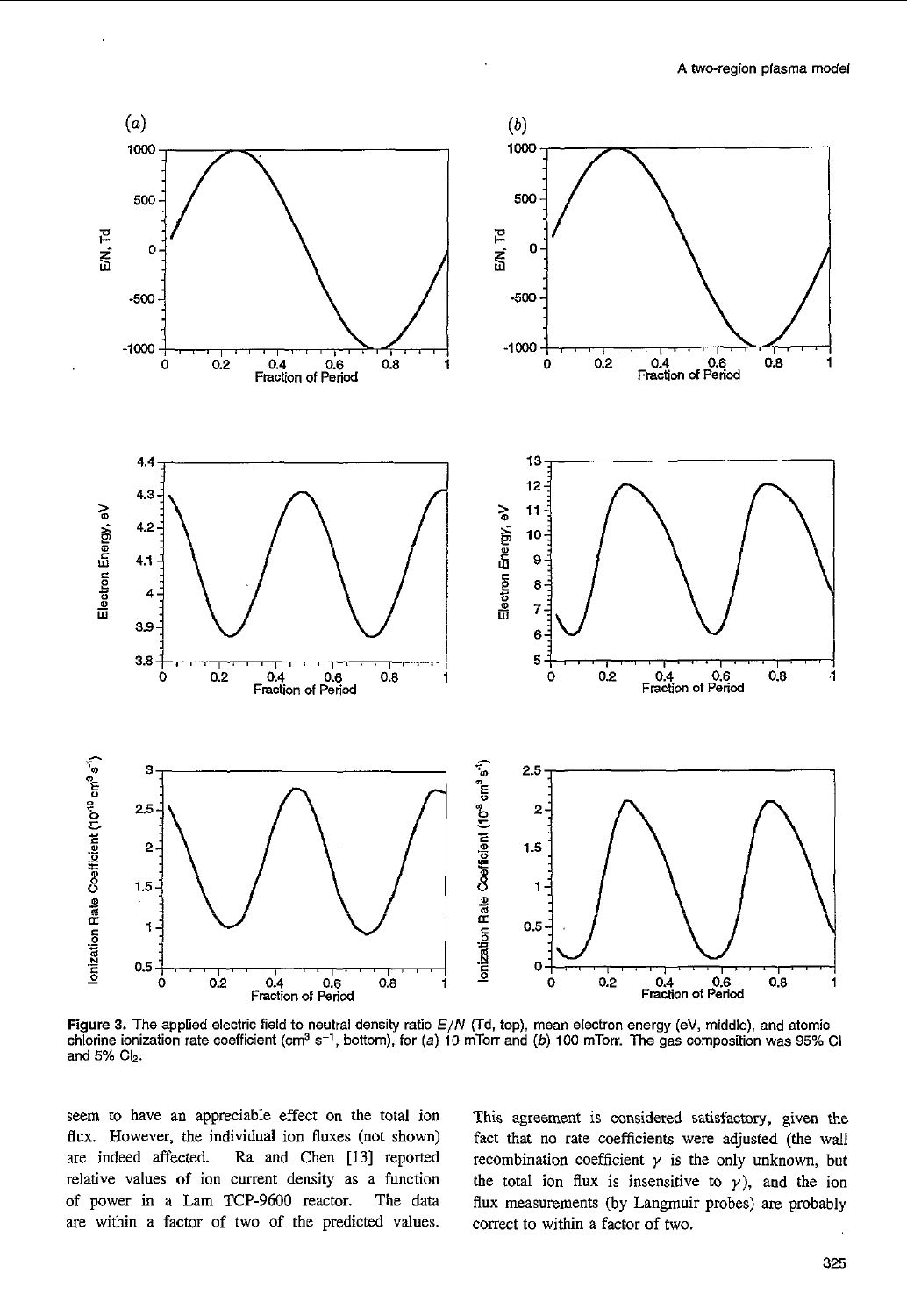

**Figure 3.** The applied electric field to neutral density ratio *EIN* (Td, top). mean electron energy (eV, middle), and atomic chlorine ionization rate coefficient (cm3 **s-',** bottom), **for** (a) **10** mTorr and *(b)* **100** mTorr. The gas composition was 95% CI and **5% Clz.** 

seem *to* have an appreciable effect **on** the total ion **flux.** However, the individual ion fluxes (not shown) are indeed affected. Ra and Chen [I31 reported relative values of ion current density as a function of power in **a** Lam TCP-9600 reactor. The data are within a factor of two of the predicted values.

This agreement is considered satisfactory, given the fact that **no** rate coefficients were adjusted (the wall recombination coefficient  $\gamma$  is the only unknown, but the total ion flux is insensitive to  $\gamma$ ), and the ion **flux** measurements (by Langmuir probes) are probably correct to within a factor of two.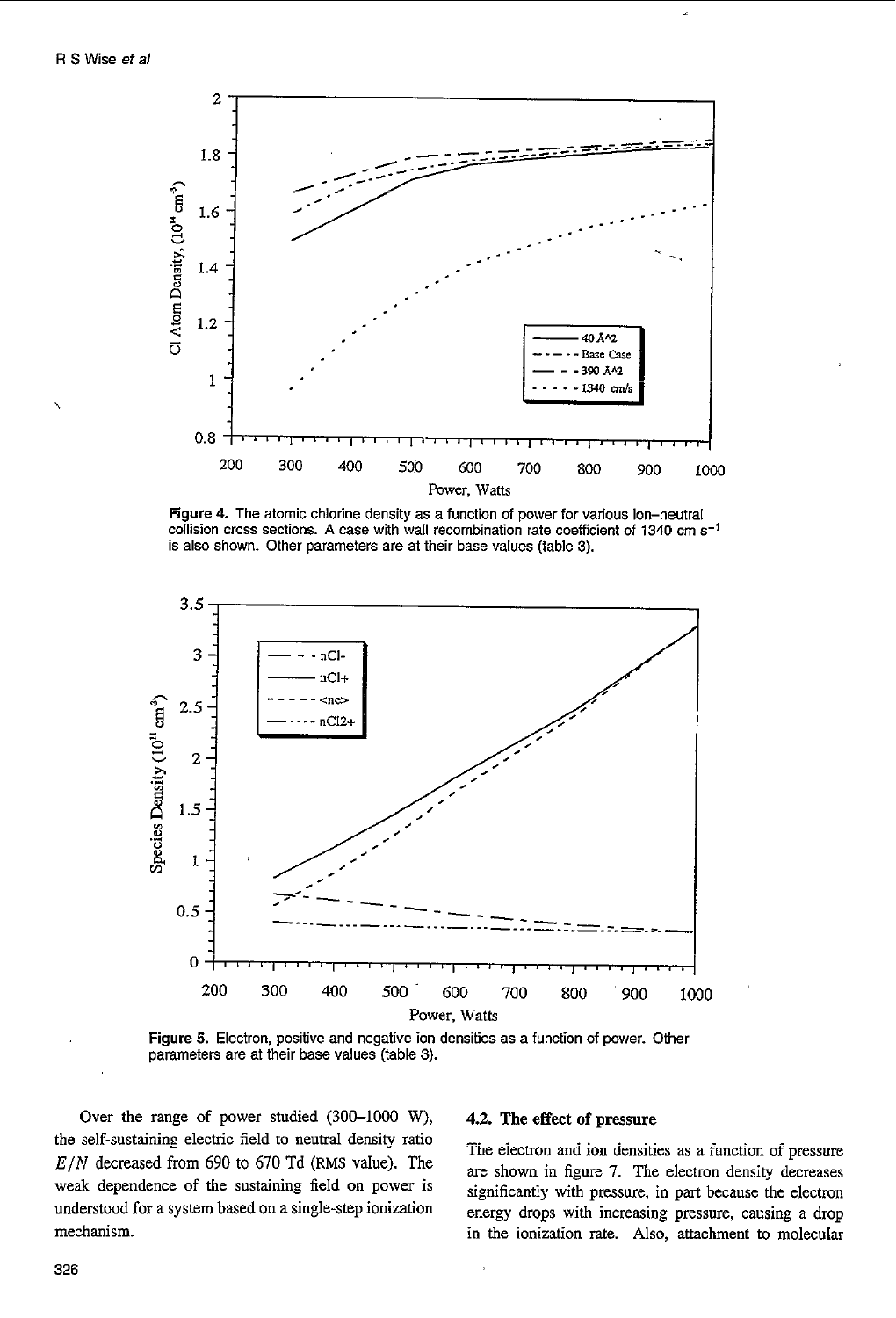

Figure **4.** The atomic chlorine density as a function *of* power for various ion-neutral collision cross sections. **A** case with wall recombination rate coefficient *of* 1340 cm **s-'**  is also shown. Other parameters are at their base values (table **3).** 



**Figure 5.** Electron, positive and negative ion densities **as** a function of power. Other parameters are at their base values (table **3).** 

Over the range of power studied (300-1000 W), **4.2.** The effect **of** pressure the self-sustaining electric field to neutral density ratio The electron and ion densities as a function of pressure  $E/N$  decreased from 690 to 670 Td (RMS value). The<br>weak dependence of the sustaining field on power is<br>understood for a system based on a single-step ionization<br>energy drops with increasing pressure causing a drop

energy drops with increasing pressure, causing a drop mechanism. **in** the ionization rate. Also, attachment to molecular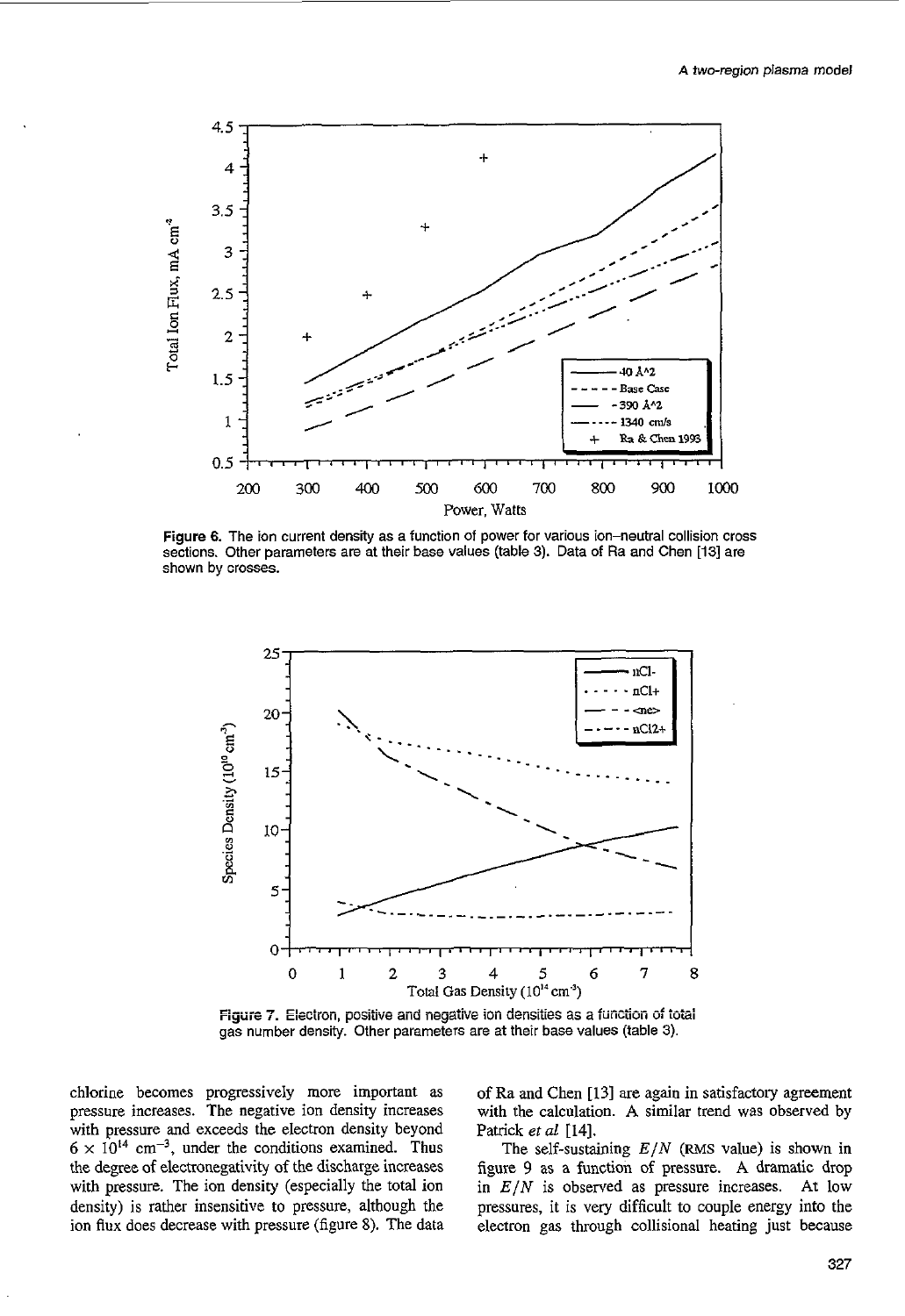

Figure 6. The ion current density as a function of power for various ion-neutral collision cross sections. Other parameters are at their base values (table **3).** Data *of* Ra and Chen **[I31** are shown by crosses.



gas number density. Other parameters are at their base values (table **3).** 

chlorine becomes progressively more important as pressure increases. The negative ion density increases with pressure and exceeds the electron density beyond  $6 \times 10^{14}$  cm<sup>-3</sup>, under the conditions examined. Thus the degree **of** electronegativity of the discharge increases with pressure. The ion density (especially the total ion density) is rather insensitive to pressure, although the ion **flux** does decrease with pressure (figure **8).** The data of Ra and Chen **[13]** are again in satisfactory agreement with the calculation. A similar trend was observed by Patrick *et al* [14].

The self-sustaining  $E/N$  (RMS value) is shown in figure 9 as a function of pressure. **A** dramatic drop in *E/N* is observed as pressure increases. At low pressures, it is very difficult to couple energy into the electron gas through collisional heating just because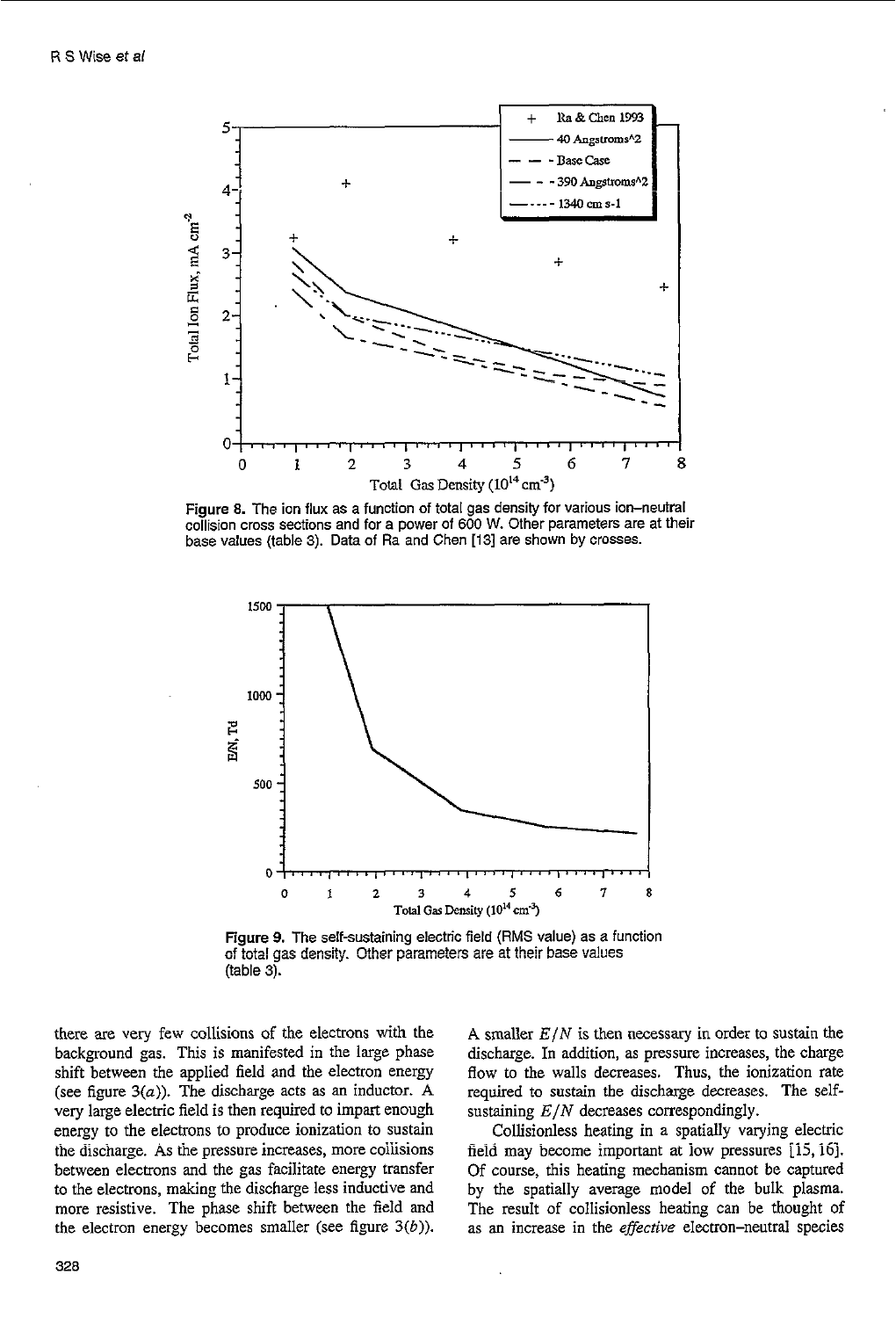

**Figure 8.** The ion flux as a function of total gas density for various ion-neutral collision cross sections and for a power of 600 **W.** Other parameters are at their base values (table **3).** Data of Ra and Chen **[13]** are shown **by** crosses.



Figure 9. The self-sustaining electric field (RMS value) as a function of total gas density. Other parameters are at their base values (table 3).

there are very few collisions of the electrons with the background gas. This is manifested in the large phase shift between the applied field and the electron energy (see figure *3(a)).* The discharge acts as an inductor. **A**  very large electric field is then required to impart enough energy to the electrons to produce ionization **to** sustain the discharge. **As** the pressure increases, more coiiisions between electrons and the gas facilitate energy transfer to the electrons, making the discharge less inductive and more resistive. The phase shift between the field and the electron energy becomes smaller (see figure *3(6)).*  **A** smaller *E/N* is then necessary in order to sustain the discharge. In addition, as pressure increases, the charge **flow** to the walls decreases. Thus, the ionization rate required to sustain the discharge decreases. The selfsustaining *E/N* decreases correspondingly.

Collisionless heating in a spatially varying electric field may become important at low pressures [15, 16]. Of course, this heating mechanism cannot be captured by the spatially average model of the bulk plasma. The result of collisionless heating can be thought of as an increase in the *effective* electron-neutral species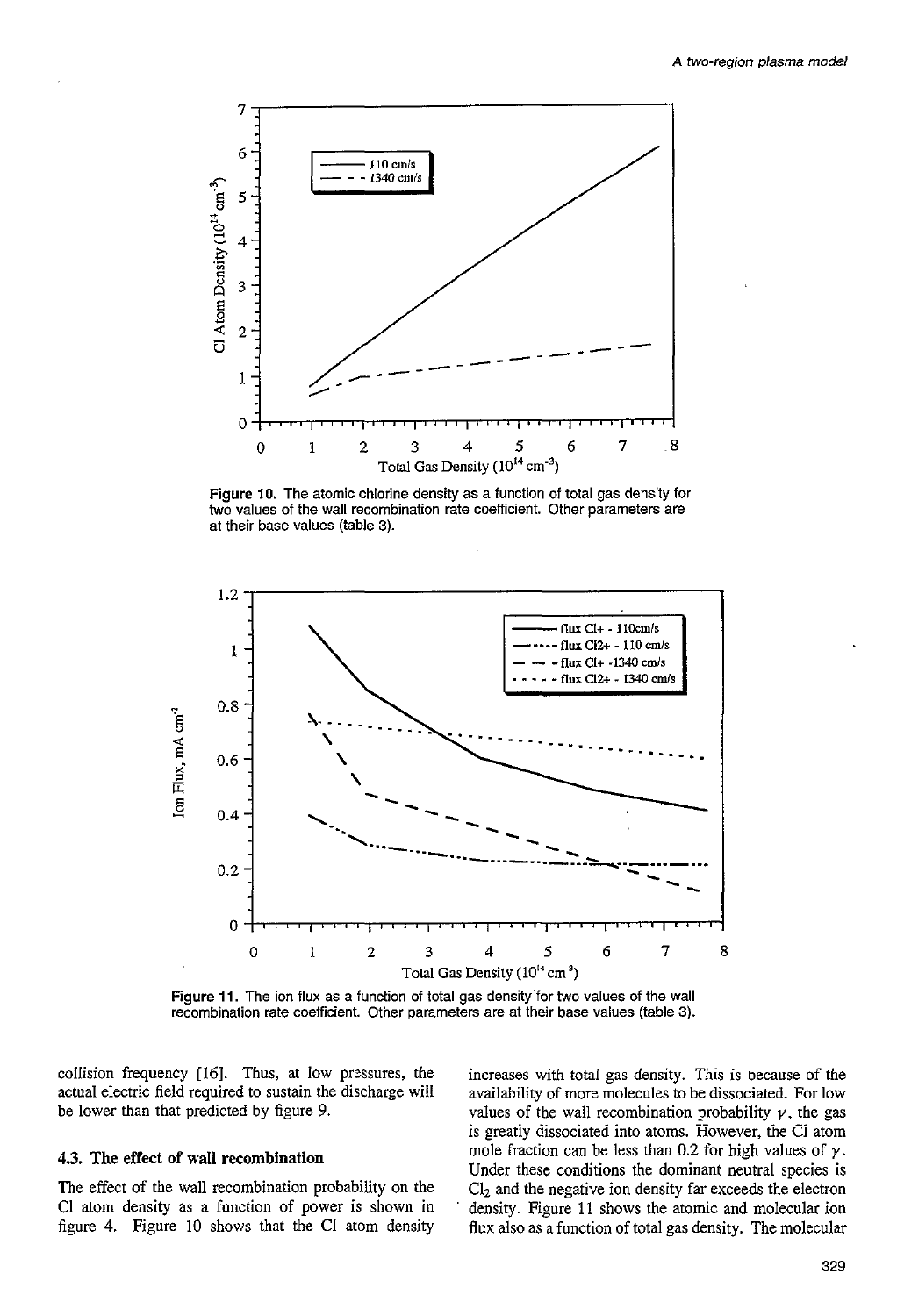

Figure 10. The atomic chlorine density as a function of total gas density for two values of the wall recombination rate coefficient. Other parameters are at their base values (table 3).



Figure 11. The ion flux as a function of total gas density for two values of the wall recombination rate coefficient. Other parameters are at their base values (table 3).

collision frequency [16]. Thus, at low pressures, the actual electric field required to sustain the discharge will be lower than that predicted by figure 9.

# 4.3. The effect of wall recombination

The effect of the wall recombination probability on the Cl atom density as a function of power is shown in figure 4. Figure 10 shows that the Cl atom density increases with total gas density. This is because of the availability of more molecules to be dissociated. For low values of the wall recombination probability  $\gamma$ , the gas is greatly dissociated into atoms. However, the Cl atom mole fraction can be less than 0.2 for high values of  $\gamma$ . Under these conditions the dominant neutral species is  $Cl<sub>2</sub>$  and the negative ion density far exceeds the electron density. Figure 11 shows the atomic and molecular ion flux also as a function of total gas density. The molecular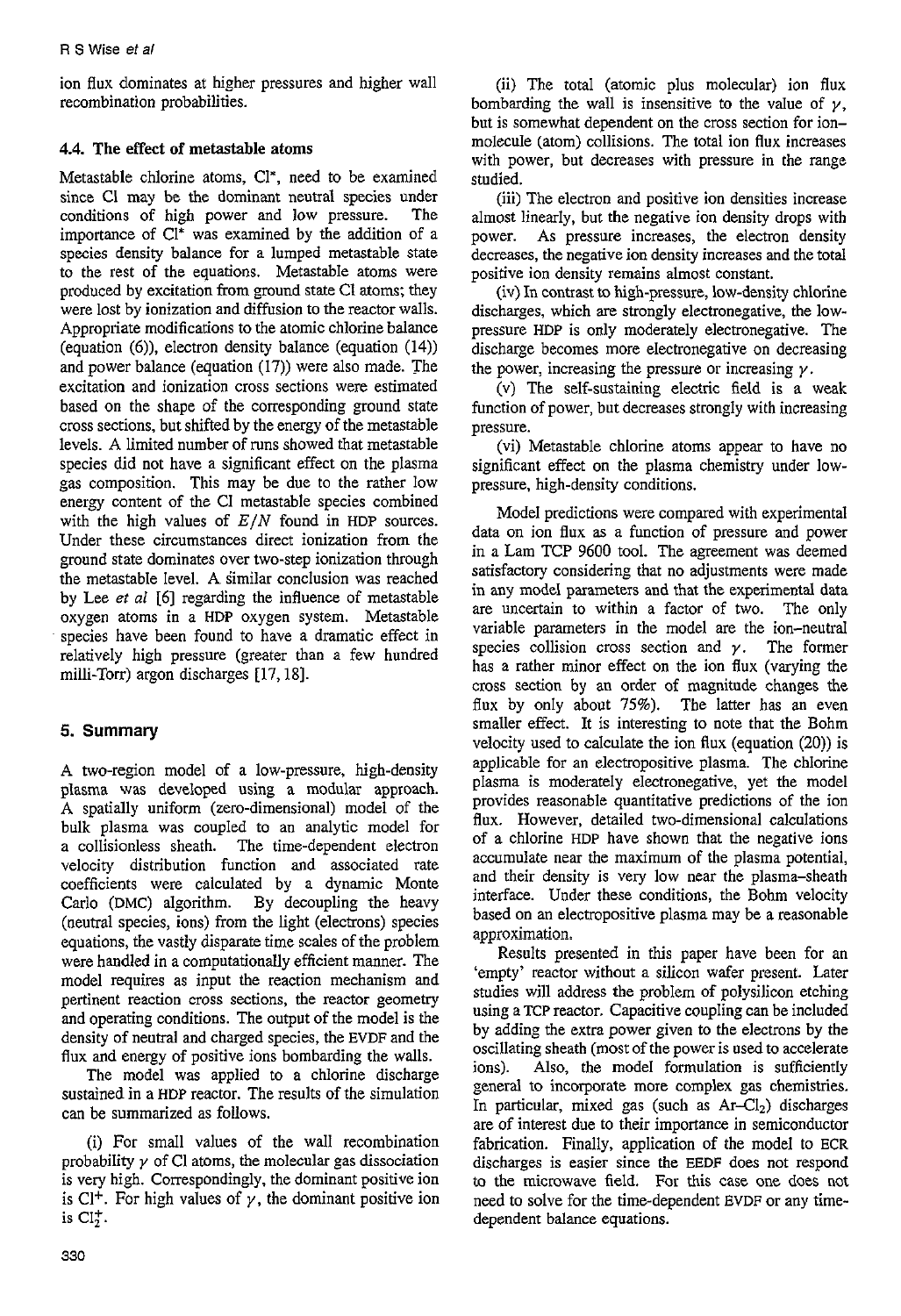ion flux dominates at higher pressures and higher wall recombination probabilities.

# **4.4.** The effect **of** metastable atoms

Metastable chlorine atoms, Cl", need to be examined since CI may be the dominant neutral species under conditions of high power and low pressure. The conditions of high power and low pressure. importance of  $Cl^*$  was examined by the addition of a species density balance for a lumped metastable state to the rest of the equations. Metastable atoms were produced by excitation from ground state C1 atoms; they were lost by ionization and diffusion to the reactor walls. Appropriate modifications to the atomic chlorine balance (equation *(6)),* electron density balance (equation (14)) and power balance (equation (17)) were also made. The excitation and ionization cross sections were estimated based on the shape of the corresponding ground state cross sections, but shifted by the energy of the metastable levels. A limited number of **runs** showed that metastable species did not have a significant effect on the plasma gas composition. This may be due to the rather low energy content of the Cl metastable species combined with the high values of *E/N* found in HDP sources. Under these circumstances direct ionization from the ground state dominates over two-step ionization through the metastable level. **A** Similar conclusion was reached by Lee **et** *a1 [6]* regarding the influence **of** metastable oxygen atoms in a HDP oxygen system. Metastable species have been found to have a dramatic effect in relatively high pressure (greater than a few hundred milli-Torr) argon discharges [17,18].

# **5. Summary**

A two-region model of a low-pressure, high-density pIasma was developed using a modular approach. A spatially uniform (zero-dimensional) model of the bulk plasma was coupled to an analytic model for a collisionless sheath. The time-dependent electron velocity distribution function and associated rate coefficients were calculated by a dynamic Monte Carlo (DMC) algorithm. By decoupling the heavy (neutral species, ions) from the light (electrons) species equations, the vastly disparate time scales of the problem were handled in a computationally efficient manner. The model requires as input the reaction mechanism and pertinent reaction cross sections, the reactor geometry and operating conditions. The output of the model is the density of neutral and charged species, the EVDF and the flux and energy of positive ions bombarding the walls.

The model was applied to a chlorine discharge sustained in a HDP reactor. The results of the simulation can be summarized as follows.

(i) For small values of the wall recombination probability  $\gamma$  of Cl atoms, the molecular gas dissociation is very high. Correspondingly, the dominant positive ion is Cl<sup>+</sup>. For high values of  $\gamma$ , the dominant positive ion is  $CI<sub>2</sub>$ <sup>+</sup>.

(ii) The total (atomic plus molecular) ion flux bombarding the wall is insensitive to the value of  $\nu$ . but is somewhat dependent on the cross section for ionmolecule (atom) collisions. The total ion flux increases with power, but decreases with pressure in the range studied.

(iii) The electron and positive ion densities increase almost linearly, but the negative ion density drops with power. **As** pressure increases, the electron density decreases, the negative ion density increases and the total positive ion density remains almost constant.

(iv) In contrast to high-pressure, low-density chlorine discharges, which **are** strongly electronegative, the lowpressure HDP is only moderately electronegative. The discharge becomes more electronegative on decreasing the power, increasing the pressure or increasing  $\nu$ .

(v) The self-sustaining electric field is a weak function of power, but decreases strongly with increasing pressure.

(vi) Metastable chlorine atoms appear to have no significant effect on the plasma chemistry under lowpressure, high-density conditions.

Model predictions were compared with experimental data on ion flux as a function of pressure and power in a Lam TCP 9600 tool. The agreement was deemed satisfactory considering that **no** adjustments were made in any model parameters and that the experimental data are uncertain to within a factor of two. The only variable parameters in the model are the ion-neutral species collision cross section and  $\gamma$ . The former has a rather minor effect on the ion flux (varying the cross section by an order *of* magnitude changes the flux by only about  $75\%$ ). smaller effect. It is interesting to note that the Bohm velocity used to calculate the ion flux (equation (20)) is applicable for an electropositive plasma. The chlorine plasma is moderately electronegative, yet the model provides reasonable quantitative predictions of the ion flux. However, detailed two-dimensional calculations of a chlorine HDP have shown that the negative ions accumulate near the maximum of the plasma potential, and their density is very low near the plasma-sheath interface. Under these conditions, the Bohm velocity based on an electropositive plasma may be a reasonable approximation.

Results presented in this paper have been for an 'empty' reactor without a silicon wafer present. Later studies will address the problem of polysilicon etching using a TCP reactor. Capacitive coupling can be included by adding the extra power given to the electrons by the oscillating sheath (most of the power is used to accelerate ions). Also, the model formulation is sufficiently general to incorporate more complex gas chemistries. In particular, mixed gas (such as  $Ar-Cl_2$ ) discharges are of interest due to their importance in semiconductor fabrication. Finally, application of the model to ECR discharges is easier since the EEDF does not respond to the microwave field. For this case one does not need to solve for the time-dependent EVDF or any timedependent balance equations.